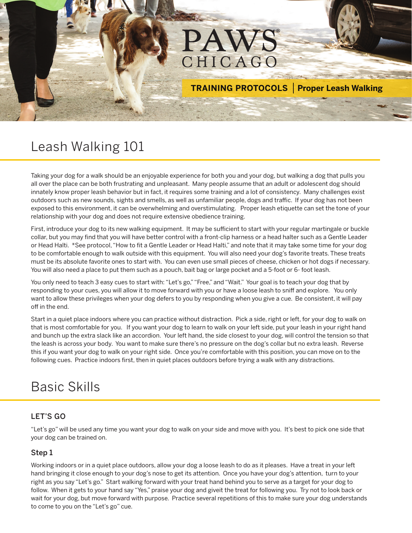# PAWS CHICAGO

**TRAINING PROTOCOLS Proper Leash Walking** 

## Leash Walking 101

Taking your dog for a walk should be an enjoyable experience for both you and your dog, but walking a dog that pulls you all over the place can be both frustrating and unpleasant. Many people assume that an adult or adolescent dog should innately know proper leash behavior but in fact, it requires some training and a lot of consistency. Many challenges exist outdoors such as new sounds, sights and smells, as well as unfamiliar people, dogs and traffic. If your dog has not been exposed to this environment, it can be overwhelming and overstimulating. Proper leash etiquette can set the tone of your relationship with your dog and does not require extensive obedience training.

First, introduce your dog to its new walking equipment. It may be sufficient to start with your regular martingale or buckle collar, but you may find that you will have better control with a front-clip harness or a head halter such as a Gentle Leader or Head Halti. \*See protocol, "How to fit a Gentle Leader or Head Halti," and note that it may take some time for your dog to be comfortable enough to walk outside with this equipment. You will also need your dog's favorite treats. These treats must be its absolute favorite ones to start with. You can even use small pieces of cheese, chicken or hot dogs if necessary. You will also need a place to put them such as a pouch, bait bag or large pocket and a 5-foot or 6- foot leash.

You only need to teach 3 easy cues to start with: "Let's go," "Free," and "Wait." Your goal is to teach your dog that by responding to your cues, you will allow it to move forward with you or have a loose leash to sniff and explore. You only want to allow these privileges when your dog defers to you by responding when you give a cue. Be consistent, it will pay off in the end.

Start in a quiet place indoors where you can practice without distraction. Pick a side, right or left, for your dog to walk on that is most comfortable for you. If you want your dog to learn to walk on your left side, put your leash in your right hand and bunch up the extra slack like an accordion. Your left hand, the side closest to your dog, will control the tension so that the leash is across your body. You want to make sure there's no pressure on the dog's collar but no extra leash. Reverse this if you want your dog to walk on your right side. Once you're comfortable with this position, you can move on to the following cues. Practice indoors first, then in quiet places outdoors before trying a walk with any distractions.

# Basic Skills

### LET'S GO

"Let's go" will be used any time you want your dog to walk on your side and move with you. It's best to pick one side that your dog can be trained on.

#### Step 1

Working indoors or in a quiet place outdoors, allow your dog a loose leash to do as it pleases. Have a treat in your left hand bringing it close enough to your dog's nose to get its attention. Once you have your dog's attention, turn to your right as you say "Let's go." Start walking forward with your treat hand behind you to serve as a target for your dog to follow. When it gets to your hand say "Yes," praise your dog and giveit the treat for following you. Try not to look back or wait for your dog, but move forward with purpose. Practice several repetitions of this to make sure your dog understands to come to you on the "Let's go" cue.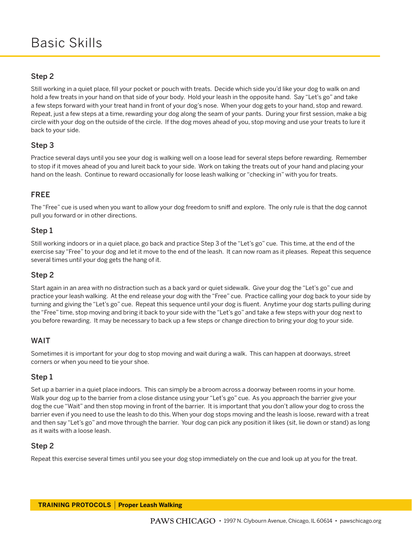#### Step 2

Still working in a quiet place, fill your pocket or pouch with treats. Decide which side you'd like your dog to walk on and hold a few treats in your hand on that side of your body. Hold your leash in the opposite hand. Say "Let's go" and take a few steps forward with your treat hand in front of your dog's nose. When your dog gets to your hand, stop and reward. Repeat, just a few steps at a time, rewarding your dog along the seam of your pants. During your first session, make a big circle with your dog on the outside of the circle. If the dog moves ahead of you, stop moving and use your treats to lure it back to your side.

#### Step 3

Practice several days until you see your dog is walking well on a loose lead for several steps before rewarding. Remember to stop if it moves ahead of you and lureit back to your side. Work on taking the treats out of your hand and placing your hand on the leash. Continue to reward occasionally for loose leash walking or "checking in" with you for treats.

#### FREE

The "Free" cue is used when you want to allow your dog freedom to sniff and explore. The only rule is that the dog cannot pull you forward or in other directions.

#### Step 1

Still working indoors or in a quiet place, go back and practice Step 3 of the "Let's go" cue. This time, at the end of the exercise say "Free" to your dog and let it move to the end of the leash. It can now roam as it pleases. Repeat this sequence several times until your dog gets the hang of it.

#### Step 2

Start again in an area with no distraction such as a back yard or quiet sidewalk. Give your dog the "Let's go" cue and practice your leash walking. At the end release your dog with the "Free" cue. Practice calling your dog back to your side by turning and giving the "Let's go" cue. Repeat this sequence until your dog is fluent. Anytime your dog starts pulling during the "Free" time, stop moving and bring it back to your side with the "Let's go" and take a few steps with your dog next to you before rewarding. It may be necessary to back up a few steps or change direction to bring your dog to your side.

#### WAIT

Sometimes it is important for your dog to stop moving and wait during a walk. This can happen at doorways, street corners or when you need to tie your shoe.

#### Step 1

Set up a barrier in a quiet place indoors. This can simply be a broom across a doorway between rooms in your home. Walk your dog up to the barrier from a close distance using your "Let's go" cue. As you approach the barrier give your dog the cue "Wait" and then stop moving in front of the barrier. It is important that you don't allow your dog to cross the barrier even if you need to use the leash to do this. When your dog stops moving and the leash is loose, reward with a treat and then say "Let's go" and move through the barrier. Your dog can pick any position it likes (sit, lie down or stand) as long as it waits with a loose leash.

#### Step 2

Repeat this exercise several times until you see your dog stop immediately on the cue and look up at you for the treat.